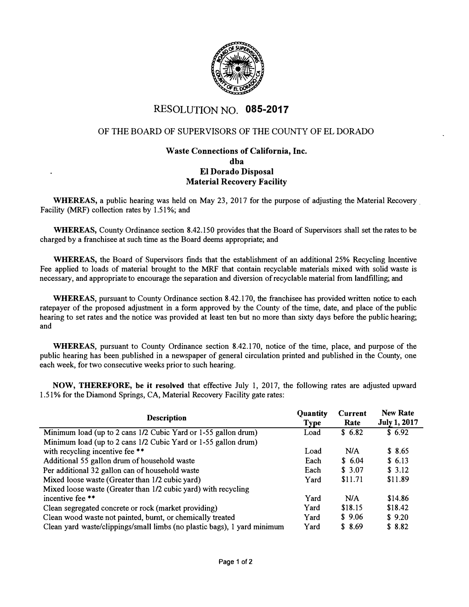

# RESOLUTION NO. **085-2017**

# OF THE BOARD OF SUPERVISORS OF THE COUNTY OF EL DORADO

# **Waste Connections of California, Inc. dba El Dorado Disposal Material Recovery Facility**

**WHEREAS,** a public hearing was held on May 23, 2017 for the purpose of adjusting the Material Recovery. Facility (MRF) collection rates by 1.51%; and

**WHEREAS,** County Ordinance section 8.42.150 provides that the Board of Supervisors shall set the rates to be charged by a franchisee at such time as the Board deems appropriate; and

**WHEREAS,** the Board of Supervisors finds that the establishment of an additional 25% Recycling Incentive Fee applied to loads of material brought to the MRF that contain recyclable materials mixed with solid waste is necessary, and appropriate to encourage the separation and diversion of recyclable material from landfilling; and

**WHEREAS,** pursuant to County Ordinance section 8.42.170, the franchisee has provided written notice to each ratepayer of the proposed adjustment in a form approved by the County of the time, date, and place of the public hearing to set rates and the notice was provided at least ten but no more than sixty days before the public hearing; and

**WHEREAS,** pursuant to County Ordinance section 8.42.170, notice of the time, place, and purpose of the public hearing has been published in a newspaper of general circulation printed and published in the County, one each week, for two consecutive weeks prior to such hearing.

**NOW, THEREFORE, be it resolved** that effective July 1, 2017, the following rates are adjusted upward 1.51 % for the Diamond Springs, CA, Material Recovery Facility gate rates:

| <b>Description</b>                                                       | Quantity<br>Type | Current<br>Rate | <b>New Rate</b><br><b>July 1, 2017</b> |
|--------------------------------------------------------------------------|------------------|-----------------|----------------------------------------|
| Minimum load (up to 2 cans 1/2 Cubic Yard or 1-55 gallon drum)           | Load             | \$6.82          | \$6.92                                 |
| Minimum load (up to 2 cans 1/2 Cubic Yard or 1-55 gallon drum)           |                  |                 |                                        |
| with recycling incentive fee **                                          | Load             | N/A             | \$8.65                                 |
| Additional 55 gallon drum of household waste                             | Each             | \$6.04          | \$6.13                                 |
| Per additional 32 gallon can of household waste                          | Each             | \$3.07          | \$3.12                                 |
| Mixed loose waste (Greater than 1/2 cubic yard)                          | Yard             | \$11.71         | \$11.89                                |
| Mixed loose waste (Greater than 1/2 cubic yard) with recycling           |                  |                 |                                        |
| incentive fee **                                                         | Yard             | N/A             | \$14.86                                |
| Clean segregated concrete or rock (market providing)                     | Yard             | \$18.15         | \$18.42                                |
| Clean wood waste not painted, burnt, or chemically treated               | Yard             | \$9.06          | \$9.20                                 |
| Clean yard waste/clippings/small limbs (no plastic bags), 1 yard minimum | Yard             | \$8.69          | \$8.82                                 |